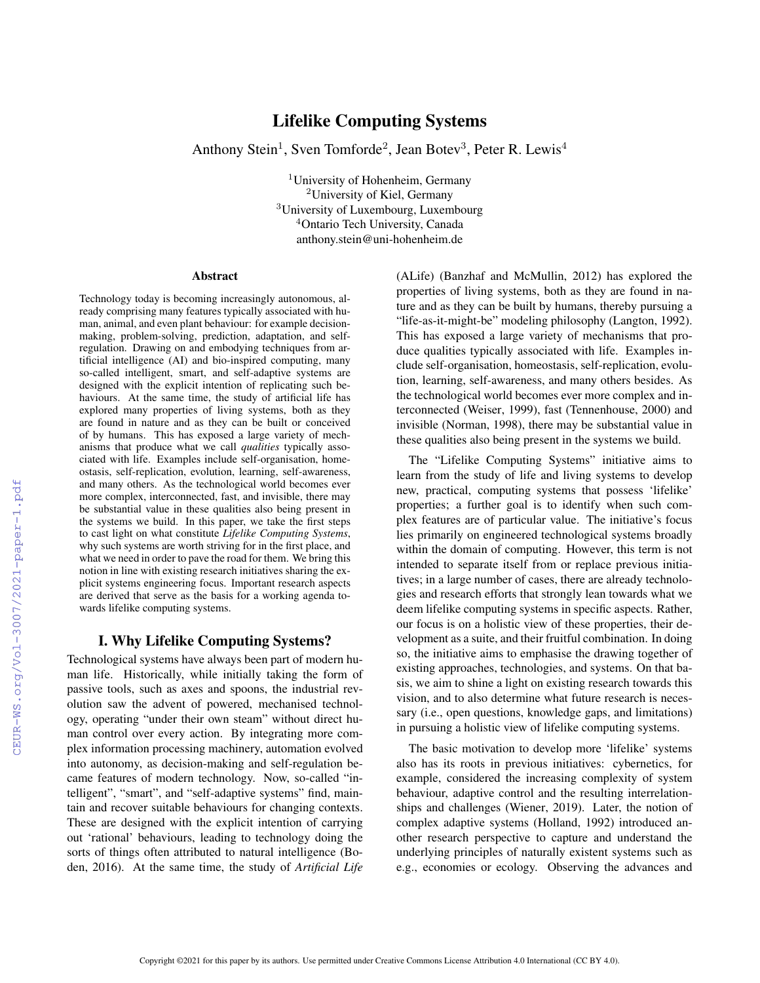# Lifelike Computing Systems

Anthony Stein<sup>1</sup>, Sven Tomforde<sup>2</sup>, Jean Botev<sup>3</sup>, Peter R. Lewis<sup>4</sup>

<sup>1</sup>University of Hohenheim, Germany <sup>2</sup>University of Kiel, Germany <sup>3</sup>University of Luxembourg, Luxembourg <sup>4</sup>Ontario Tech University, Canada anthony.stein@uni-hohenheim.de

#### **Abstract**

Technology today is becoming increasingly autonomous, already comprising many features typically associated with human, animal, and even plant behaviour: for example decisionmaking, problem-solving, prediction, adaptation, and selfregulation. Drawing on and embodying techniques from artificial intelligence (AI) and bio-inspired computing, many so-called intelligent, smart, and self-adaptive systems are designed with the explicit intention of replicating such behaviours. At the same time, the study of artificial life has explored many properties of living systems, both as they are found in nature and as they can be built or conceived of by humans. This has exposed a large variety of mechanisms that produce what we call *qualities* typically associated with life. Examples include self-organisation, homeostasis, self-replication, evolution, learning, self-awareness, and many others. As the technological world becomes ever more complex, interconnected, fast, and invisible, there may be substantial value in these qualities also being present in the systems we build. In this paper, we take the first steps to cast light on what constitute *Lifelike Computing Systems*, why such systems are worth striving for in the first place, and what we need in order to pave the road for them. We bring this notion in line with existing research initiatives sharing the explicit systems engineering focus. Important research aspects are derived that serve as the basis for a working agenda towards lifelike computing systems.

# I. Why Lifelike Computing Systems?

Technological systems have always been part of modern human life. Historically, while initially taking the form of passive tools, such as axes and spoons, the industrial revolution saw the advent of powered, mechanised technology, operating "under their own steam" without direct human control over every action. By integrating more complex information processing machinery, automation evolved into autonomy, as decision-making and self-regulation became features of modern technology. Now, so-called "intelligent", "smart", and "self-adaptive systems" find, maintain and recover suitable behaviours for changing contexts. These are designed with the explicit intention of carrying out 'rational' behaviours, leading to technology doing the sorts of things often attributed to natural intelligence (Boden, 2016). At the same time, the study of *Artificial Life*

(ALife) (Banzhaf and McMullin, 2012) has explored the properties of living systems, both as they are found in nature and as they can be built by humans, thereby pursuing a "life-as-it-might-be" modeling philosophy (Langton, 1992). This has exposed a large variety of mechanisms that produce qualities typically associated with life. Examples include self-organisation, homeostasis, self-replication, evolution, learning, self-awareness, and many others besides. As the technological world becomes ever more complex and interconnected (Weiser, 1999), fast (Tennenhouse, 2000) and invisible (Norman, 1998), there may be substantial value in these qualities also being present in the systems we build.

The "Lifelike Computing Systems" initiative aims to learn from the study of life and living systems to develop new, practical, computing systems that possess 'lifelike' properties; a further goal is to identify when such complex features are of particular value. The initiative's focus lies primarily on engineered technological systems broadly within the domain of computing. However, this term is not intended to separate itself from or replace previous initiatives; in a large number of cases, there are already technologies and research efforts that strongly lean towards what we deem lifelike computing systems in specific aspects. Rather, our focus is on a holistic view of these properties, their development as a suite, and their fruitful combination. In doing so, the initiative aims to emphasise the drawing together of existing approaches, technologies, and systems. On that basis, we aim to shine a light on existing research towards this vision, and to also determine what future research is necessary (i.e., open questions, knowledge gaps, and limitations) in pursuing a holistic view of lifelike computing systems.

The basic motivation to develop more 'lifelike' systems also has its roots in previous initiatives: cybernetics, for example, considered the increasing complexity of system behaviour, adaptive control and the resulting interrelationships and challenges (Wiener, 2019). Later, the notion of complex adaptive systems (Holland, 1992) introduced another research perspective to capture and understand the underlying principles of naturally existent systems such as e.g., economies or ecology. Observing the advances and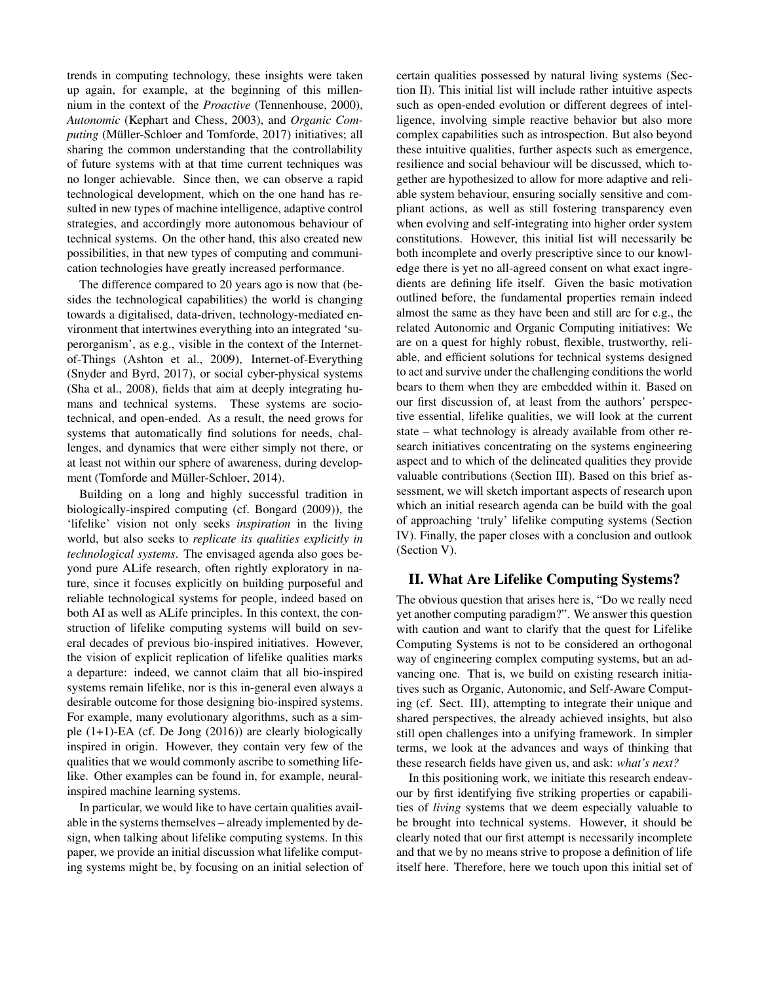trends in computing technology, these insights were taken up again, for example, at the beginning of this millennium in the context of the *Proactive* (Tennenhouse, 2000), *Autonomic* (Kephart and Chess, 2003), and *Organic Computing* (Müller-Schloer and Tomforde, 2017) initiatives; all sharing the common understanding that the controllability of future systems with at that time current techniques was no longer achievable. Since then, we can observe a rapid technological development, which on the one hand has resulted in new types of machine intelligence, adaptive control strategies, and accordingly more autonomous behaviour of technical systems. On the other hand, this also created new possibilities, in that new types of computing and communication technologies have greatly increased performance.

The difference compared to 20 years ago is now that (besides the technological capabilities) the world is changing towards a digitalised, data-driven, technology-mediated environment that intertwines everything into an integrated 'superorganism', as e.g., visible in the context of the Internetof-Things (Ashton et al., 2009), Internet-of-Everything (Snyder and Byrd, 2017), or social cyber-physical systems (Sha et al., 2008), fields that aim at deeply integrating humans and technical systems. These systems are sociotechnical, and open-ended. As a result, the need grows for systems that automatically find solutions for needs, challenges, and dynamics that were either simply not there, or at least not within our sphere of awareness, during development (Tomforde and Müller-Schloer, 2014).

Building on a long and highly successful tradition in biologically-inspired computing (cf. Bongard (2009)), the 'lifelike' vision not only seeks *inspiration* in the living world, but also seeks to *replicate its qualities explicitly in technological systems*. The envisaged agenda also goes beyond pure ALife research, often rightly exploratory in nature, since it focuses explicitly on building purposeful and reliable technological systems for people, indeed based on both AI as well as ALife principles. In this context, the construction of lifelike computing systems will build on several decades of previous bio-inspired initiatives. However, the vision of explicit replication of lifelike qualities marks a departure: indeed, we cannot claim that all bio-inspired systems remain lifelike, nor is this in-general even always a desirable outcome for those designing bio-inspired systems. For example, many evolutionary algorithms, such as a simple (1+1)-EA (cf. De Jong (2016)) are clearly biologically inspired in origin. However, they contain very few of the qualities that we would commonly ascribe to something lifelike. Other examples can be found in, for example, neuralinspired machine learning systems.

In particular, we would like to have certain qualities available in the systems themselves – already implemented by design, when talking about lifelike computing systems. In this paper, we provide an initial discussion what lifelike computing systems might be, by focusing on an initial selection of certain qualities possessed by natural living systems (Section II). This initial list will include rather intuitive aspects such as open-ended evolution or different degrees of intelligence, involving simple reactive behavior but also more complex capabilities such as introspection. But also beyond these intuitive qualities, further aspects such as emergence, resilience and social behaviour will be discussed, which together are hypothesized to allow for more adaptive and reliable system behaviour, ensuring socially sensitive and compliant actions, as well as still fostering transparency even when evolving and self-integrating into higher order system constitutions. However, this initial list will necessarily be both incomplete and overly prescriptive since to our knowledge there is yet no all-agreed consent on what exact ingredients are defining life itself. Given the basic motivation outlined before, the fundamental properties remain indeed almost the same as they have been and still are for e.g., the related Autonomic and Organic Computing initiatives: We are on a quest for highly robust, flexible, trustworthy, reliable, and efficient solutions for technical systems designed to act and survive under the challenging conditions the world bears to them when they are embedded within it. Based on our first discussion of, at least from the authors' perspective essential, lifelike qualities, we will look at the current state – what technology is already available from other research initiatives concentrating on the systems engineering aspect and to which of the delineated qualities they provide valuable contributions (Section III). Based on this brief assessment, we will sketch important aspects of research upon which an initial research agenda can be build with the goal of approaching 'truly' lifelike computing systems (Section IV). Finally, the paper closes with a conclusion and outlook (Section V).

# II. What Are Lifelike Computing Systems?

The obvious question that arises here is, "Do we really need yet another computing paradigm?". We answer this question with caution and want to clarify that the quest for Lifelike Computing Systems is not to be considered an orthogonal way of engineering complex computing systems, but an advancing one. That is, we build on existing research initiatives such as Organic, Autonomic, and Self-Aware Computing (cf. Sect. III), attempting to integrate their unique and shared perspectives, the already achieved insights, but also still open challenges into a unifying framework. In simpler terms, we look at the advances and ways of thinking that these research fields have given us, and ask: *what's next?*

In this positioning work, we initiate this research endeavour by first identifying five striking properties or capabilities of *living* systems that we deem especially valuable to be brought into technical systems. However, it should be clearly noted that our first attempt is necessarily incomplete and that we by no means strive to propose a definition of life itself here. Therefore, here we touch upon this initial set of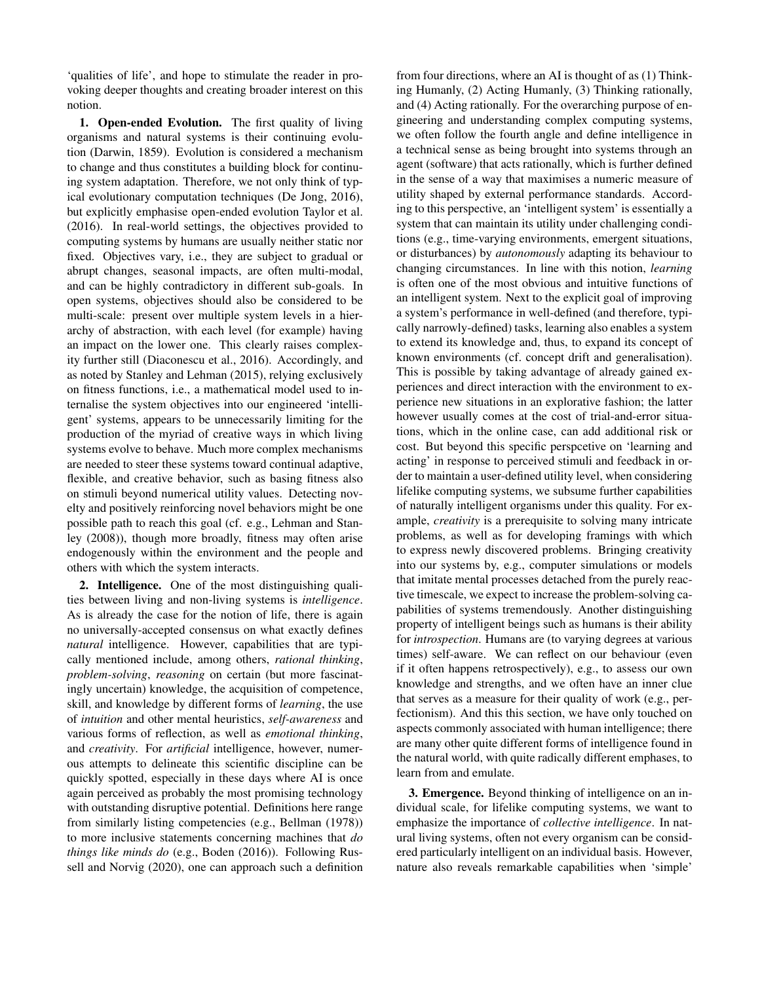'qualities of life', and hope to stimulate the reader in provoking deeper thoughts and creating broader interest on this notion.

1. Open-ended Evolution. The first quality of living organisms and natural systems is their continuing evolution (Darwin, 1859). Evolution is considered a mechanism to change and thus constitutes a building block for continuing system adaptation. Therefore, we not only think of typical evolutionary computation techniques (De Jong, 2016), but explicitly emphasise open-ended evolution Taylor et al. (2016). In real-world settings, the objectives provided to computing systems by humans are usually neither static nor fixed. Objectives vary, i.e., they are subject to gradual or abrupt changes, seasonal impacts, are often multi-modal, and can be highly contradictory in different sub-goals. In open systems, objectives should also be considered to be multi-scale: present over multiple system levels in a hierarchy of abstraction, with each level (for example) having an impact on the lower one. This clearly raises complexity further still (Diaconescu et al., 2016). Accordingly, and as noted by Stanley and Lehman (2015), relying exclusively on fitness functions, i.e., a mathematical model used to internalise the system objectives into our engineered 'intelligent' systems, appears to be unnecessarily limiting for the production of the myriad of creative ways in which living systems evolve to behave. Much more complex mechanisms are needed to steer these systems toward continual adaptive, flexible, and creative behavior, such as basing fitness also on stimuli beyond numerical utility values. Detecting novelty and positively reinforcing novel behaviors might be one possible path to reach this goal (cf. e.g., Lehman and Stanley (2008)), though more broadly, fitness may often arise endogenously within the environment and the people and others with which the system interacts.

2. Intelligence. One of the most distinguishing qualities between living and non-living systems is *intelligence*. As is already the case for the notion of life, there is again no universally-accepted consensus on what exactly defines *natural* intelligence. However, capabilities that are typically mentioned include, among others, *rational thinking*, *problem-solving*, *reasoning* on certain (but more fascinatingly uncertain) knowledge, the acquisition of competence, skill, and knowledge by different forms of *learning*, the use of *intuition* and other mental heuristics, *self-awareness* and various forms of reflection, as well as *emotional thinking*, and *creativity*. For *artificial* intelligence, however, numerous attempts to delineate this scientific discipline can be quickly spotted, especially in these days where AI is once again perceived as probably the most promising technology with outstanding disruptive potential. Definitions here range from similarly listing competencies (e.g., Bellman (1978)) to more inclusive statements concerning machines that *do things like minds do* (e.g., Boden (2016)). Following Russell and Norvig (2020), one can approach such a definition

from four directions, where an AI is thought of as (1) Thinking Humanly, (2) Acting Humanly, (3) Thinking rationally, and (4) Acting rationally. For the overarching purpose of engineering and understanding complex computing systems, we often follow the fourth angle and define intelligence in a technical sense as being brought into systems through an agent (software) that acts rationally, which is further defined in the sense of a way that maximises a numeric measure of utility shaped by external performance standards. According to this perspective, an 'intelligent system' is essentially a system that can maintain its utility under challenging conditions (e.g., time-varying environments, emergent situations, or disturbances) by *autonomously* adapting its behaviour to changing circumstances. In line with this notion, *learning* is often one of the most obvious and intuitive functions of an intelligent system. Next to the explicit goal of improving a system's performance in well-defined (and therefore, typically narrowly-defined) tasks, learning also enables a system to extend its knowledge and, thus, to expand its concept of known environments (cf. concept drift and generalisation). This is possible by taking advantage of already gained experiences and direct interaction with the environment to experience new situations in an explorative fashion; the latter however usually comes at the cost of trial-and-error situations, which in the online case, can add additional risk or cost. But beyond this specific perspcetive on 'learning and acting' in response to perceived stimuli and feedback in order to maintain a user-defined utility level, when considering lifelike computing systems, we subsume further capabilities of naturally intelligent organisms under this quality. For example, *creativity* is a prerequisite to solving many intricate problems, as well as for developing framings with which to express newly discovered problems. Bringing creativity into our systems by, e.g., computer simulations or models that imitate mental processes detached from the purely reactive timescale, we expect to increase the problem-solving capabilities of systems tremendously. Another distinguishing property of intelligent beings such as humans is their ability for *introspection*. Humans are (to varying degrees at various times) self-aware. We can reflect on our behaviour (even if it often happens retrospectively), e.g., to assess our own knowledge and strengths, and we often have an inner clue that serves as a measure for their quality of work (e.g., perfectionism). And this this section, we have only touched on aspects commonly associated with human intelligence; there are many other quite different forms of intelligence found in the natural world, with quite radically different emphases, to learn from and emulate.

3. Emergence. Beyond thinking of intelligence on an individual scale, for lifelike computing systems, we want to emphasize the importance of *collective intelligence*. In natural living systems, often not every organism can be considered particularly intelligent on an individual basis. However, nature also reveals remarkable capabilities when 'simple'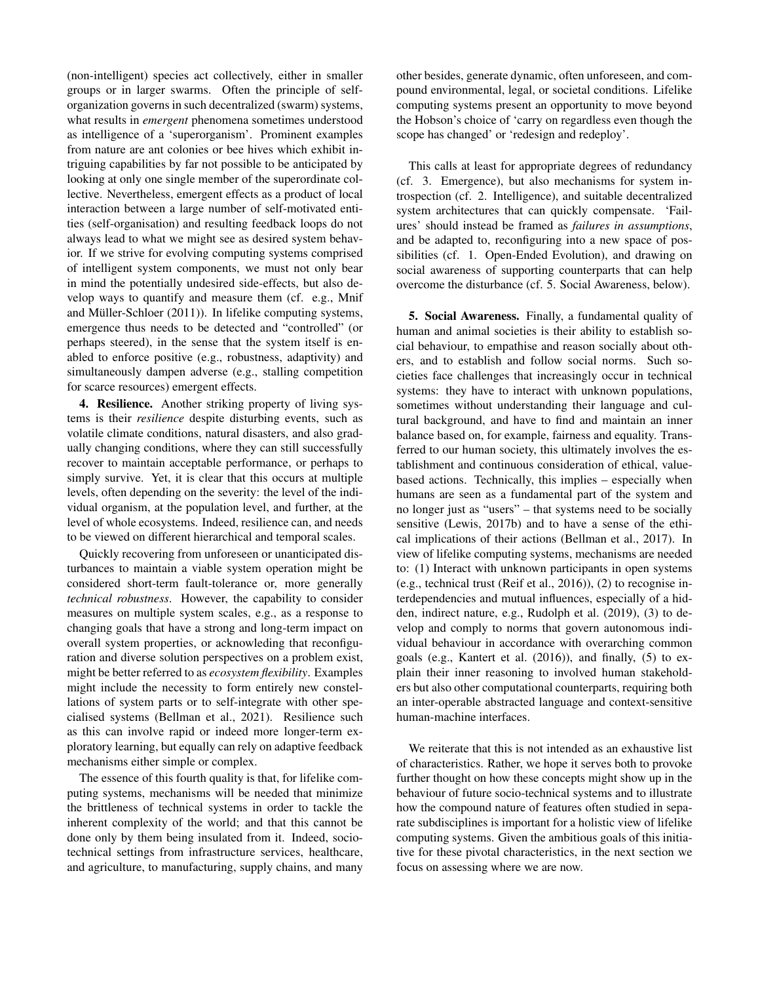(non-intelligent) species act collectively, either in smaller groups or in larger swarms. Often the principle of selforganization governs in such decentralized (swarm) systems, what results in *emergent* phenomena sometimes understood as intelligence of a 'superorganism'. Prominent examples from nature are ant colonies or bee hives which exhibit intriguing capabilities by far not possible to be anticipated by looking at only one single member of the superordinate collective. Nevertheless, emergent effects as a product of local interaction between a large number of self-motivated entities (self-organisation) and resulting feedback loops do not always lead to what we might see as desired system behavior. If we strive for evolving computing systems comprised of intelligent system components, we must not only bear in mind the potentially undesired side-effects, but also develop ways to quantify and measure them (cf. e.g., Mnif and Müller-Schloer  $(2011)$ ). In lifelike computing systems, emergence thus needs to be detected and "controlled" (or perhaps steered), in the sense that the system itself is enabled to enforce positive (e.g., robustness, adaptivity) and simultaneously dampen adverse (e.g., stalling competition for scarce resources) emergent effects.

4. Resilience. Another striking property of living systems is their *resilience* despite disturbing events, such as volatile climate conditions, natural disasters, and also gradually changing conditions, where they can still successfully recover to maintain acceptable performance, or perhaps to simply survive. Yet, it is clear that this occurs at multiple levels, often depending on the severity: the level of the individual organism, at the population level, and further, at the level of whole ecosystems. Indeed, resilience can, and needs to be viewed on different hierarchical and temporal scales.

Quickly recovering from unforeseen or unanticipated disturbances to maintain a viable system operation might be considered short-term fault-tolerance or, more generally *technical robustness*. However, the capability to consider measures on multiple system scales, e.g., as a response to changing goals that have a strong and long-term impact on overall system properties, or acknowleding that reconfiguration and diverse solution perspectives on a problem exist, might be better referred to as *ecosystem flexibility*. Examples might include the necessity to form entirely new constellations of system parts or to self-integrate with other specialised systems (Bellman et al., 2021). Resilience such as this can involve rapid or indeed more longer-term exploratory learning, but equally can rely on adaptive feedback mechanisms either simple or complex.

The essence of this fourth quality is that, for lifelike computing systems, mechanisms will be needed that minimize the brittleness of technical systems in order to tackle the inherent complexity of the world; and that this cannot be done only by them being insulated from it. Indeed, sociotechnical settings from infrastructure services, healthcare, and agriculture, to manufacturing, supply chains, and many other besides, generate dynamic, often unforeseen, and compound environmental, legal, or societal conditions. Lifelike computing systems present an opportunity to move beyond the Hobson's choice of 'carry on regardless even though the scope has changed' or 'redesign and redeploy'.

This calls at least for appropriate degrees of redundancy (cf. 3. Emergence), but also mechanisms for system introspection (cf. 2. Intelligence), and suitable decentralized system architectures that can quickly compensate. 'Failures' should instead be framed as *failures in assumptions*, and be adapted to, reconfiguring into a new space of possibilities (cf. 1. Open-Ended Evolution), and drawing on social awareness of supporting counterparts that can help overcome the disturbance (cf. 5. Social Awareness, below).

5. Social Awareness. Finally, a fundamental quality of human and animal societies is their ability to establish social behaviour, to empathise and reason socially about others, and to establish and follow social norms. Such societies face challenges that increasingly occur in technical systems: they have to interact with unknown populations, sometimes without understanding their language and cultural background, and have to find and maintain an inner balance based on, for example, fairness and equality. Transferred to our human society, this ultimately involves the establishment and continuous consideration of ethical, valuebased actions. Technically, this implies – especially when humans are seen as a fundamental part of the system and no longer just as "users" – that systems need to be socially sensitive (Lewis, 2017b) and to have a sense of the ethical implications of their actions (Bellman et al., 2017). In view of lifelike computing systems, mechanisms are needed to: (1) Interact with unknown participants in open systems (e.g., technical trust (Reif et al., 2016)), (2) to recognise interdependencies and mutual influences, especially of a hidden, indirect nature, e.g., Rudolph et al. (2019), (3) to develop and comply to norms that govern autonomous individual behaviour in accordance with overarching common goals (e.g., Kantert et al. (2016)), and finally, (5) to explain their inner reasoning to involved human stakeholders but also other computational counterparts, requiring both an inter-operable abstracted language and context-sensitive human-machine interfaces.

We reiterate that this is not intended as an exhaustive list of characteristics. Rather, we hope it serves both to provoke further thought on how these concepts might show up in the behaviour of future socio-technical systems and to illustrate how the compound nature of features often studied in separate subdisciplines is important for a holistic view of lifelike computing systems. Given the ambitious goals of this initiative for these pivotal characteristics, in the next section we focus on assessing where we are now.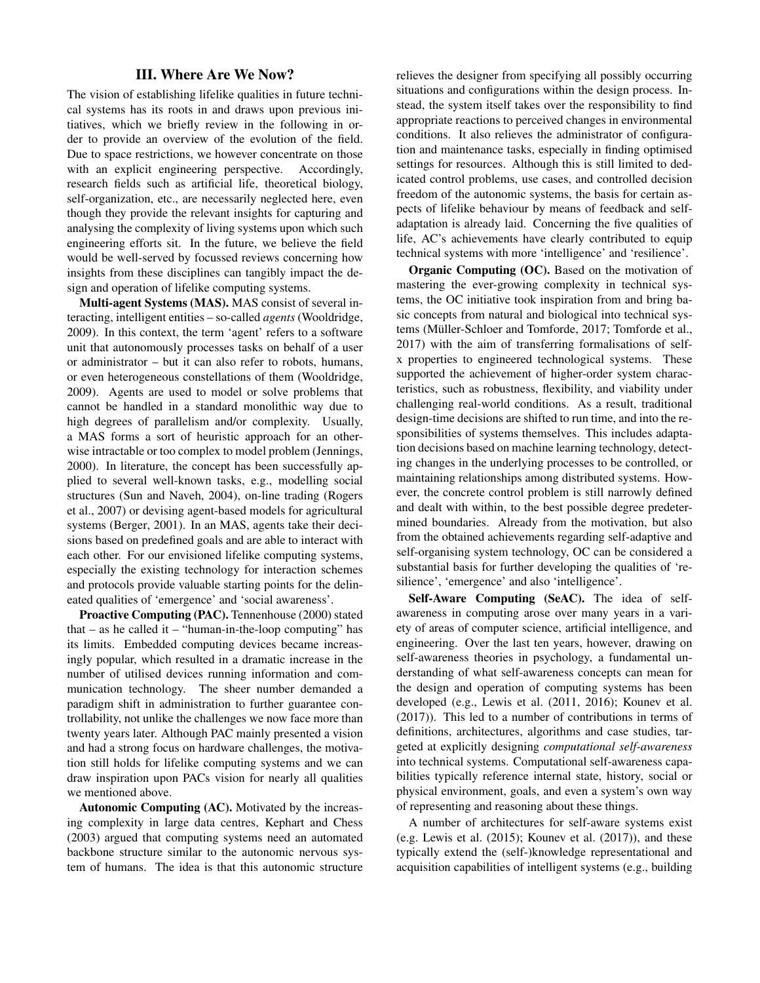### III. Where Are We Now?

The vision of establishing lifelike qualities in future technical systems has its roots in and draws upon previous initiatives, which we briefly review in the following in order to provide an overview of the evolution of the field. Due to space restrictions, we however concentrate on those with an explicit engineering perspective. Accordingly, research fields such as artificial life, theoretical biology, self-organization, etc., are necessarily neglected here, even though they provide the relevant insights for capturing and analysing the complexity of living systems upon which such engineering efforts sit. In the future, we believe the field would be well-served by focussed reviews concerning how insights from these disciplines can tangibly impact the design and operation of lifelike computing systems.

Multi-agent Systems (MAS). MAS consist of several interacting, intelligent entities – so-called *agents* (Wooldridge, 2009). In this context, the term 'agent' refers to a software unit that autonomously processes tasks on behalf of a user or administrator – but it can also refer to robots, humans, or even heterogeneous constellations of them (Wooldridge, 2009). Agents are used to model or solve problems that cannot be handled in a standard monolithic way due to high degrees of parallelism and/or complexity. Usually, a MAS forms a sort of heuristic approach for an otherwise intractable or too complex to model problem (Jennings, 2000). In literature, the concept has been successfully applied to several well-known tasks, e.g., modelling social structures (Sun and Naveh, 2004), on-line trading (Rogers et al., 2007) or devising agent-based models for agricultural systems (Berger, 2001). In an MAS, agents take their decisions based on predefined goals and are able to interact with each other. For our envisioned lifelike computing systems, especially the existing technology for interaction schemes and protocols provide valuable starting points for the delineated qualities of 'emergence' and 'social awareness'.

Proactive Computing (PAC). Tennenhouse (2000) stated that  $-$  as he called it  $-$  "human-in-the-loop computing" has its limits. Embedded computing devices became increasingly popular, which resulted in a dramatic increase in the number of utilised devices running information and communication technology. The sheer number demanded a paradigm shift in administration to further guarantee controllability, not unlike the challenges we now face more than twenty years later. Although PAC mainly presented a vision and had a strong focus on hardware challenges, the motivation still holds for lifelike computing systems and we can draw inspiration upon PACs vision for nearly all qualities we mentioned above.

Autonomic Computing (AC). Motivated by the increasing complexity in large data centres, Kephart and Chess (2003) argued that computing systems need an automated backbone structure similar to the autonomic nervous system of humans. The idea is that this autonomic structure relieves the designer from specifying all possibly occurring situations and configurations within the design process. Instead, the system itself takes over the responsibility to find appropriate reactions to perceived changes in environmental conditions. It also relieves the administrator of configuration and maintenance tasks, especially in finding optimised settings for resources. Although this is still limited to dedicated control problems, use cases, and controlled decision freedom of the autonomic systems, the basis for certain aspects of lifelike behaviour by means of feedback and selfadaptation is already laid. Concerning the five qualities of life, AC's achievements have clearly contributed to equip technical systems with more 'intelligence' and 'resilience'.

Organic Computing (OC). Based on the motivation of mastering the ever-growing complexity in technical systems, the OC initiative took inspiration from and bring basic concepts from natural and biological into technical systems (Müller-Schloer and Tomforde, 2017; Tomforde et al., 2017) with the aim of transferring formalisations of selfx properties to engineered technological systems. These supported the achievement of higher-order system characteristics, such as robustness, flexibility, and viability under challenging real-world conditions. As a result, traditional design-time decisions are shifted to run time, and into the responsibilities of systems themselves. This includes adaptation decisions based on machine learning technology, detecting changes in the underlying processes to be controlled, or maintaining relationships among distributed systems. However, the concrete control problem is still narrowly defined and dealt with within, to the best possible degree predetermined boundaries. Already from the motivation, but also from the obtained achievements regarding self-adaptive and self-organising system technology, OC can be considered a substantial basis for further developing the qualities of 'resilience', 'emergence' and also 'intelligence'.

Self-Aware Computing (SeAC). The idea of selfawareness in computing arose over many years in a variety of areas of computer science, artificial intelligence, and engineering. Over the last ten years, however, drawing on self-awareness theories in psychology, a fundamental understanding of what self-awareness concepts can mean for the design and operation of computing systems has been developed (e.g., Lewis et al. (2011, 2016); Kounev et al. (2017)). This led to a number of contributions in terms of definitions, architectures, algorithms and case studies, targeted at explicitly designing *computational self-awareness* into technical systems. Computational self-awareness capabilities typically reference internal state, history, social or physical environment, goals, and even a system's own way of representing and reasoning about these things.

A number of architectures for self-aware systems exist (e.g. Lewis et al. (2015); Kounev et al. (2017)), and these typically extend the (self-)knowledge representational and acquisition capabilities of intelligent systems (e.g., building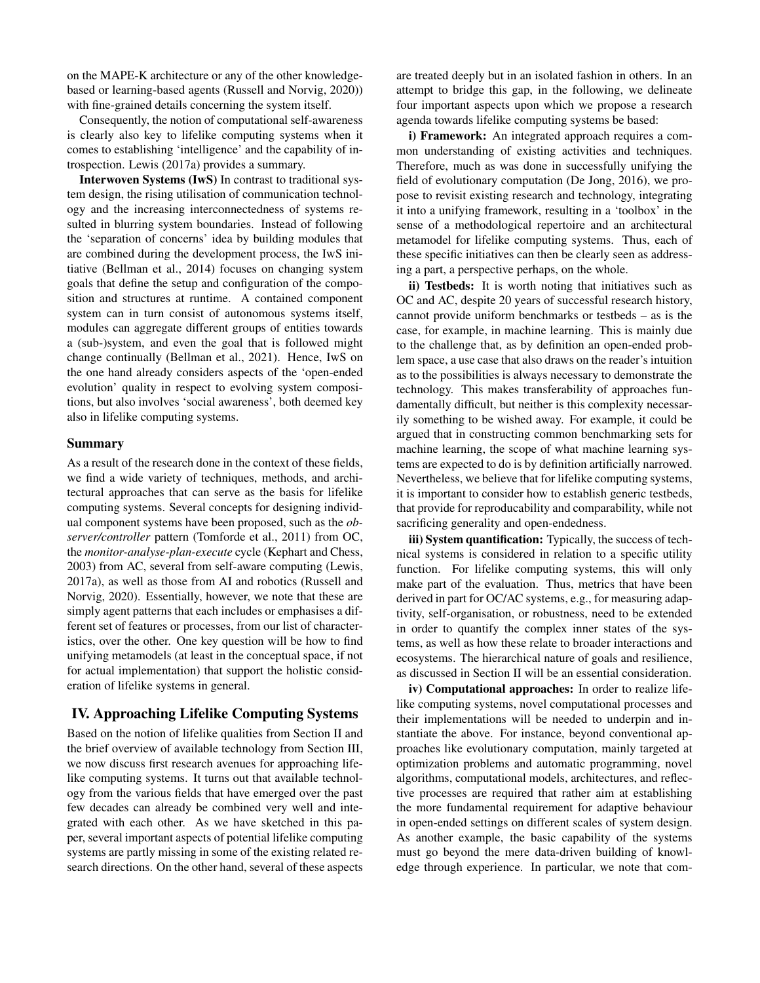on the MAPE-K architecture or any of the other knowledgebased or learning-based agents (Russell and Norvig, 2020)) with fine-grained details concerning the system itself.

Consequently, the notion of computational self-awareness is clearly also key to lifelike computing systems when it comes to establishing 'intelligence' and the capability of introspection. Lewis (2017a) provides a summary.

Interwoven Systems (IwS) In contrast to traditional system design, the rising utilisation of communication technology and the increasing interconnectedness of systems resulted in blurring system boundaries. Instead of following the 'separation of concerns' idea by building modules that are combined during the development process, the IwS initiative (Bellman et al., 2014) focuses on changing system goals that define the setup and configuration of the composition and structures at runtime. A contained component system can in turn consist of autonomous systems itself, modules can aggregate different groups of entities towards a (sub-)system, and even the goal that is followed might change continually (Bellman et al., 2021). Hence, IwS on the one hand already considers aspects of the 'open-ended evolution' quality in respect to evolving system compositions, but also involves 'social awareness', both deemed key also in lifelike computing systems.

#### Summary

As a result of the research done in the context of these fields, we find a wide variety of techniques, methods, and architectural approaches that can serve as the basis for lifelike computing systems. Several concepts for designing individual component systems have been proposed, such as the *observer/controller* pattern (Tomforde et al., 2011) from OC, the *monitor-analyse-plan-execute* cycle (Kephart and Chess, 2003) from AC, several from self-aware computing (Lewis, 2017a), as well as those from AI and robotics (Russell and Norvig, 2020). Essentially, however, we note that these are simply agent patterns that each includes or emphasises a different set of features or processes, from our list of characteristics, over the other. One key question will be how to find unifying metamodels (at least in the conceptual space, if not for actual implementation) that support the holistic consideration of lifelike systems in general.

# IV. Approaching Lifelike Computing Systems

Based on the notion of lifelike qualities from Section II and the brief overview of available technology from Section III, we now discuss first research avenues for approaching lifelike computing systems. It turns out that available technology from the various fields that have emerged over the past few decades can already be combined very well and integrated with each other. As we have sketched in this paper, several important aspects of potential lifelike computing systems are partly missing in some of the existing related research directions. On the other hand, several of these aspects

are treated deeply but in an isolated fashion in others. In an attempt to bridge this gap, in the following, we delineate four important aspects upon which we propose a research agenda towards lifelike computing systems be based:

i) Framework: An integrated approach requires a common understanding of existing activities and techniques. Therefore, much as was done in successfully unifying the field of evolutionary computation (De Jong, 2016), we propose to revisit existing research and technology, integrating it into a unifying framework, resulting in a 'toolbox' in the sense of a methodological repertoire and an architectural metamodel for lifelike computing systems. Thus, each of these specific initiatives can then be clearly seen as addressing a part, a perspective perhaps, on the whole.

ii) Testbeds: It is worth noting that initiatives such as OC and AC, despite 20 years of successful research history, cannot provide uniform benchmarks or testbeds – as is the case, for example, in machine learning. This is mainly due to the challenge that, as by definition an open-ended problem space, a use case that also draws on the reader's intuition as to the possibilities is always necessary to demonstrate the technology. This makes transferability of approaches fundamentally difficult, but neither is this complexity necessarily something to be wished away. For example, it could be argued that in constructing common benchmarking sets for machine learning, the scope of what machine learning systems are expected to do is by definition artificially narrowed. Nevertheless, we believe that for lifelike computing systems, it is important to consider how to establish generic testbeds, that provide for reproducability and comparability, while not sacrificing generality and open-endedness.

iii) System quantification: Typically, the success of technical systems is considered in relation to a specific utility function. For lifelike computing systems, this will only make part of the evaluation. Thus, metrics that have been derived in part for OC/AC systems, e.g., for measuring adaptivity, self-organisation, or robustness, need to be extended in order to quantify the complex inner states of the systems, as well as how these relate to broader interactions and ecosystems. The hierarchical nature of goals and resilience, as discussed in Section II will be an essential consideration.

iv) Computational approaches: In order to realize lifelike computing systems, novel computational processes and their implementations will be needed to underpin and instantiate the above. For instance, beyond conventional approaches like evolutionary computation, mainly targeted at optimization problems and automatic programming, novel algorithms, computational models, architectures, and reflective processes are required that rather aim at establishing the more fundamental requirement for adaptive behaviour in open-ended settings on different scales of system design. As another example, the basic capability of the systems must go beyond the mere data-driven building of knowledge through experience. In particular, we note that com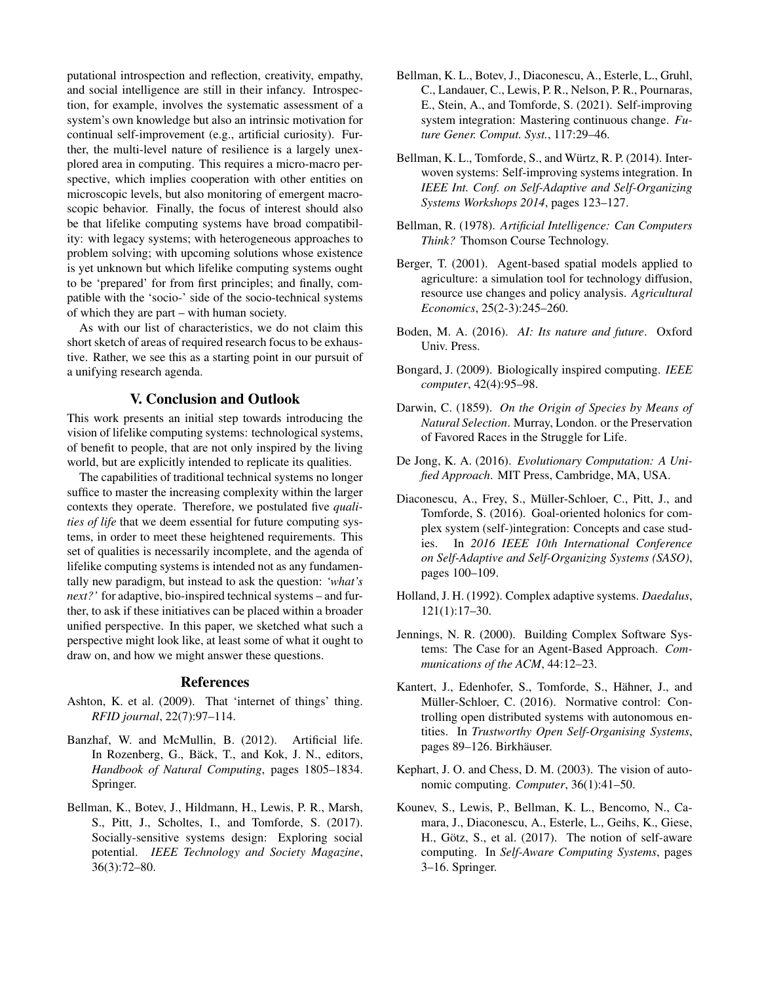putational introspection and reflection, creativity, empathy, and social intelligence are still in their infancy. Introspection, for example, involves the systematic assessment of a system's own knowledge but also an intrinsic motivation for continual self-improvement (e.g., artificial curiosity). Further, the multi-level nature of resilience is a largely unexplored area in computing. This requires a micro-macro perspective, which implies cooperation with other entities on microscopic levels, but also monitoring of emergent macroscopic behavior. Finally, the focus of interest should also be that lifelike computing systems have broad compatibility: with legacy systems; with heterogeneous approaches to problem solving; with upcoming solutions whose existence is yet unknown but which lifelike computing systems ought to be 'prepared' for from first principles; and finally, compatible with the 'socio-' side of the socio-technical systems of which they are part – with human society.

As with our list of characteristics, we do not claim this short sketch of areas of required research focus to be exhaustive. Rather, we see this as a starting point in our pursuit of a unifying research agenda.

#### V. Conclusion and Outlook

This work presents an initial step towards introducing the vision of lifelike computing systems: technological systems, of benefit to people, that are not only inspired by the living world, but are explicitly intended to replicate its qualities.

The capabilities of traditional technical systems no longer suffice to master the increasing complexity within the larger contexts they operate. Therefore, we postulated five *qualities of life* that we deem essential for future computing systems, in order to meet these heightened requirements. This set of qualities is necessarily incomplete, and the agenda of lifelike computing systems is intended not as any fundamentally new paradigm, but instead to ask the question: *'what's next?'* for adaptive, bio-inspired technical systems – and further, to ask if these initiatives can be placed within a broader unified perspective. In this paper, we sketched what such a perspective might look like, at least some of what it ought to draw on, and how we might answer these questions.

#### References

- Ashton, K. et al. (2009). That 'internet of things' thing. *RFID journal*, 22(7):97–114.
- Banzhaf, W. and McMullin, B. (2012). Artificial life. In Rozenberg, G., Bäck, T., and Kok, J. N., editors, *Handbook of Natural Computing*, pages 1805–1834. Springer.
- Bellman, K., Botev, J., Hildmann, H., Lewis, P. R., Marsh, S., Pitt, J., Scholtes, I., and Tomforde, S. (2017). Socially-sensitive systems design: Exploring social potential. *IEEE Technology and Society Magazine*, 36(3):72–80.
- Bellman, K. L., Botev, J., Diaconescu, A., Esterle, L., Gruhl, C., Landauer, C., Lewis, P. R., Nelson, P. R., Pournaras, E., Stein, A., and Tomforde, S. (2021). Self-improving system integration: Mastering continuous change. *Future Gener. Comput. Syst.*, 117:29–46.
- Bellman, K. L., Tomforde, S., and Würtz, R. P. (2014). Interwoven systems: Self-improving systems integration. In *IEEE Int. Conf. on Self-Adaptive and Self-Organizing Systems Workshops 2014*, pages 123–127.
- Bellman, R. (1978). *Artificial Intelligence: Can Computers Think?* Thomson Course Technology.
- Berger, T. (2001). Agent-based spatial models applied to agriculture: a simulation tool for technology diffusion, resource use changes and policy analysis. *Agricultural Economics*, 25(2-3):245–260.
- Boden, M. A. (2016). *AI: Its nature and future*. Oxford Univ. Press.
- Bongard, J. (2009). Biologically inspired computing. *IEEE computer*, 42(4):95–98.
- Darwin, C. (1859). *On the Origin of Species by Means of Natural Selection*. Murray, London. or the Preservation of Favored Races in the Struggle for Life.
- De Jong, K. A. (2016). *Evolutionary Computation: A Unified Approach*. MIT Press, Cambridge, MA, USA.
- Diaconescu, A., Frey, S., Muller-Schloer, C., Pitt, J., and ¨ Tomforde, S. (2016). Goal-oriented holonics for complex system (self-)integration: Concepts and case studies. In *2016 IEEE 10th International Conference on Self-Adaptive and Self-Organizing Systems (SASO)*, pages 100–109.
- Holland, J. H. (1992). Complex adaptive systems. *Daedalus*, 121(1):17–30.
- Jennings, N. R. (2000). Building Complex Software Systems: The Case for an Agent-Based Approach. *Communications of the ACM*, 44:12–23.
- Kantert, J., Edenhofer, S., Tomforde, S., Hähner, J., and Müller-Schloer, C. (2016). Normative control: Controlling open distributed systems with autonomous entities. In *Trustworthy Open Self-Organising Systems*, pages 89–126. Birkhäuser.
- Kephart, J. O. and Chess, D. M. (2003). The vision of autonomic computing. *Computer*, 36(1):41–50.
- Kounev, S., Lewis, P., Bellman, K. L., Bencomo, N., Camara, J., Diaconescu, A., Esterle, L., Geihs, K., Giese, H., Götz, S., et al. (2017). The notion of self-aware computing. In *Self-Aware Computing Systems*, pages 3–16. Springer.